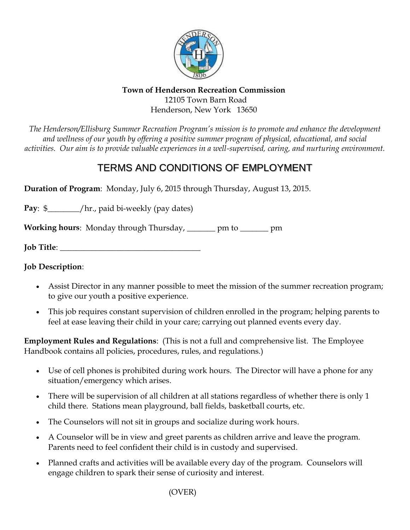

## **Town of Henderson Recreation Commission** 12105 Town Barn Road Henderson, New York 13650

*The Henderson/Ellisburg Summer Recreation Program's mission is to promote and enhance the development and wellness of our youth by offering a positive summer program of physical, educational, and social activities. Our aim is to provide valuable experiences in a well-supervised, caring, and nurturing environment.*

## TERMS AND CONDITIONS OF EMPLOYMENT

**Duration of Program**: Monday, July 6, 2015 through Thursday, August 13, 2015.

**Pay**: \$ \_\_\_\_\_\_\_\_\_\_\_\_/hr., paid bi-weekly (pay dates)

**Working hours**: Monday through Thursday, \_\_\_\_\_\_\_ pm to \_\_\_\_\_\_\_ pm

**Job Title**:

**Job Description**:

- Assist Director in any manner possible to meet the mission of the summer recreation program; to give our youth a positive experience.
- This job requires constant supervision of children enrolled in the program; helping parents to feel at ease leaving their child in your care; carrying out planned events every day.

**Employment Rules and Regulations**: (This is not a full and comprehensive list. The Employee Handbook contains all policies, procedures, rules, and regulations.)

- Use of cell phones is prohibited during work hours. The Director will have a phone for any situation/emergency which arises.
- There will be supervision of all children at all stations regardless of whether there is only 1 child there. Stations mean playground, ball fields, basketball courts, etc.
- The Counselors will not sit in groups and socialize during work hours.
- A Counselor will be in view and greet parents as children arrive and leave the program. Parents need to feel confident their child is in custody and supervised.
- Planned crafts and activities will be available every day of the program. Counselors will engage children to spark their sense of curiosity and interest.

(OVER)